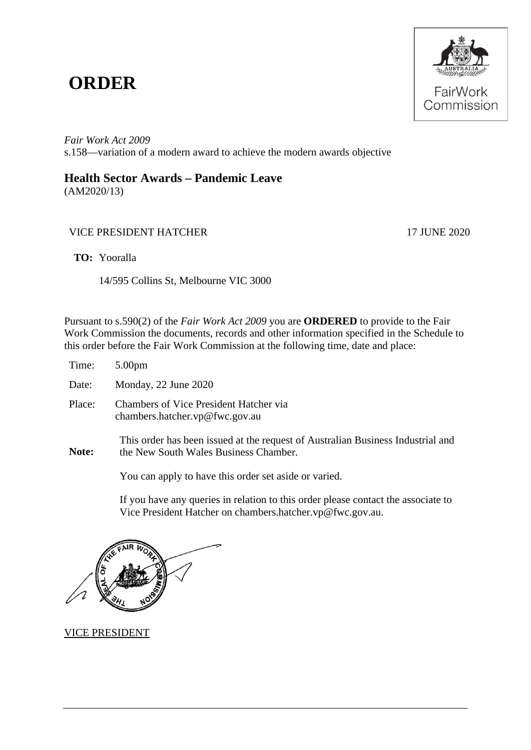## **ORDER**



*Fair Work Act 2009*  s.158—variation of a modern award to achieve the modern awards objective

## **Health Sector Awards – Pandemic Leave**

(AM2020/13)

## VICE PRESIDENT HATCHER 17 JUNE 2020

**TO:** Yooralla

14/595 Collins St, Melbourne VIC 3000

Pursuant to s.590(2) of the *Fair Work Act 2009* you are **ORDERED** to provide to the Fair Work Commission the documents, records and other information specified in the Schedule to this order before the Fair Work Commission at the following time, date and place:

| Time:  | 5.00 <sub>pm</sub>                                                                                                       |
|--------|--------------------------------------------------------------------------------------------------------------------------|
| Date:  | Monday, 22 June 2020                                                                                                     |
| Place: | <b>Chambers of Vice President Hatcher via</b><br>chambers.hatcher.vp@fwc.gov.au                                          |
| Note:  | This order has been issued at the request of Australian Business Industrial and<br>the New South Wales Business Chamber. |

You can apply to have this order set aside or varied.

If you have any queries in relation to this order please contact the associate to Vice President Hatcher on chambers.hatcher.vp@fwc.gov.au.

VICE PRESIDENT